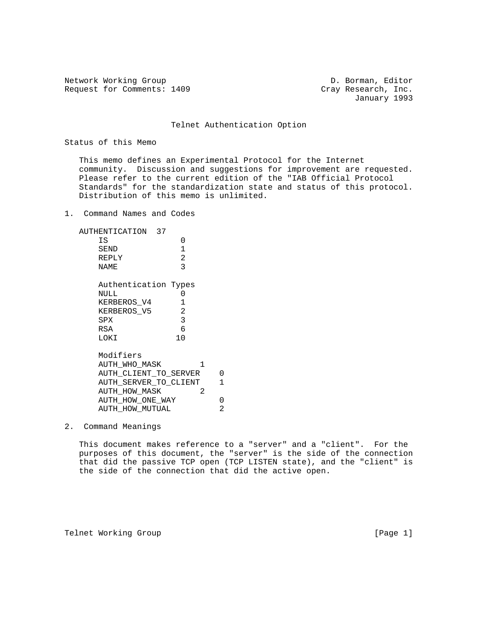Network Working Group D. Borman, Editor Request for Comments: 1409 Cray Research, Inc.

January 1993

## Telnet Authentication Option

Status of this Memo

 This memo defines an Experimental Protocol for the Internet community. Discussion and suggestions for improvement are requested. Please refer to the current edition of the "IAB Official Protocol Standards" for the standardization state and status of this protocol. Distribution of this memo is unlimited.

1. Command Names and Codes

| AUTHENTICATION 37<br>ΙS<br>0<br>1<br>SEND<br>$\overline{a}$<br>REPLY<br>3<br>NAME |              |
|-----------------------------------------------------------------------------------|--------------|
| Authentication Types                                                              |              |
| NULL<br>0                                                                         |              |
| 1<br>KERBEROS V4                                                                  |              |
| 2<br>KERBEROS V5                                                                  |              |
| 3<br>SPX                                                                          |              |
| 6<br>RSA                                                                          |              |
| 10<br>LOKI                                                                        |              |
| Modifiers                                                                         |              |
| AUTH WHO MASK<br>1                                                                |              |
| AUTH CLIENT TO SERVER                                                             | 0            |
| AUTH_SERVER_TO_CLIENT                                                             | $\mathbf{1}$ |
| 2<br><b>AUTH HOW MASK</b>                                                         |              |
| AUTH HOW ONE WAY                                                                  | 0            |
| AUTH HOW MUTUAL                                                                   | 2            |
|                                                                                   |              |

# 2. Command Meanings

 This document makes reference to a "server" and a "client". For the purposes of this document, the "server" is the side of the connection that did the passive TCP open (TCP LISTEN state), and the "client" is the side of the connection that did the active open.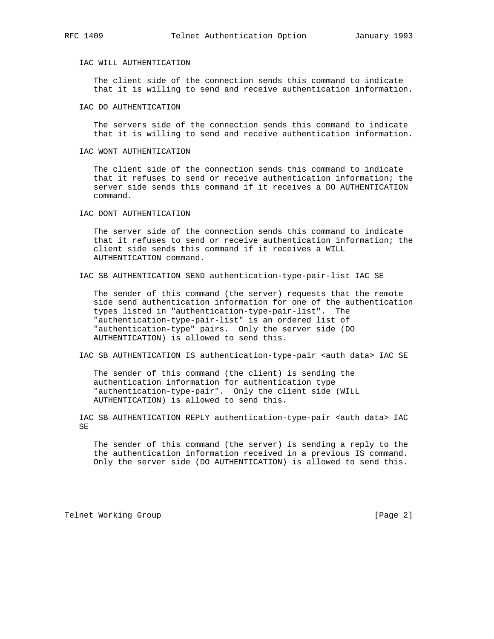## IAC WILL AUTHENTICATION

 The client side of the connection sends this command to indicate that it is willing to send and receive authentication information.

### IAC DO AUTHENTICATION

 The servers side of the connection sends this command to indicate that it is willing to send and receive authentication information.

#### IAC WONT AUTHENTICATION

 The client side of the connection sends this command to indicate that it refuses to send or receive authentication information; the server side sends this command if it receives a DO AUTHENTICATION command.

IAC DONT AUTHENTICATION

 The server side of the connection sends this command to indicate that it refuses to send or receive authentication information; the client side sends this command if it receives a WILL AUTHENTICATION command.

IAC SB AUTHENTICATION SEND authentication-type-pair-list IAC SE

 The sender of this command (the server) requests that the remote side send authentication information for one of the authentication types listed in "authentication-type-pair-list". The "authentication-type-pair-list" is an ordered list of "authentication-type" pairs. Only the server side (DO AUTHENTICATION) is allowed to send this.

IAC SB AUTHENTICATION IS authentication-type-pair <auth data> IAC SE

 The sender of this command (the client) is sending the authentication information for authentication type "authentication-type-pair". Only the client side (WILL AUTHENTICATION) is allowed to send this.

IAC SB AUTHENTICATION REPLY authentication-type-pair <auth data> IAC SE

 The sender of this command (the server) is sending a reply to the the authentication information received in a previous IS command. Only the server side (DO AUTHENTICATION) is allowed to send this.

Telnet Working Group **by the Contract Contract Contract Contract Contract Contract Contract Contract Contract Contract Contract Contract Contract Contract Contract Contract Contract Contract Contract Contract Contract Cont**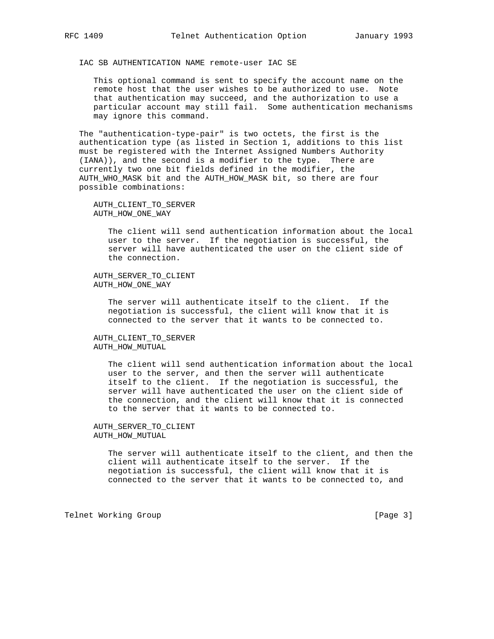IAC SB AUTHENTICATION NAME remote-user IAC SE

 This optional command is sent to specify the account name on the remote host that the user wishes to be authorized to use. Note that authentication may succeed, and the authorization to use a particular account may still fail. Some authentication mechanisms may ignore this command.

 The "authentication-type-pair" is two octets, the first is the authentication type (as listed in Section 1, additions to this list must be registered with the Internet Assigned Numbers Authority (IANA)), and the second is a modifier to the type. There are currently two one bit fields defined in the modifier, the AUTH\_WHO\_MASK bit and the AUTH\_HOW\_MASK bit, so there are four possible combinations:

 AUTH\_CLIENT\_TO\_SERVER AUTH\_HOW\_ONE\_WAY

> The client will send authentication information about the local user to the server. If the negotiation is successful, the server will have authenticated the user on the client side of the connection.

 AUTH\_SERVER\_TO\_CLIENT AUTH\_HOW\_ONE\_WAY

> The server will authenticate itself to the client. If the negotiation is successful, the client will know that it is connected to the server that it wants to be connected to.

 AUTH\_CLIENT\_TO\_SERVER AUTH\_HOW\_MUTUAL

> The client will send authentication information about the local user to the server, and then the server will authenticate itself to the client. If the negotiation is successful, the server will have authenticated the user on the client side of the connection, and the client will know that it is connected to the server that it wants to be connected to.

 AUTH\_SERVER\_TO\_CLIENT AUTH\_HOW\_MUTUAL

> The server will authenticate itself to the client, and then the client will authenticate itself to the server. If the negotiation is successful, the client will know that it is connected to the server that it wants to be connected to, and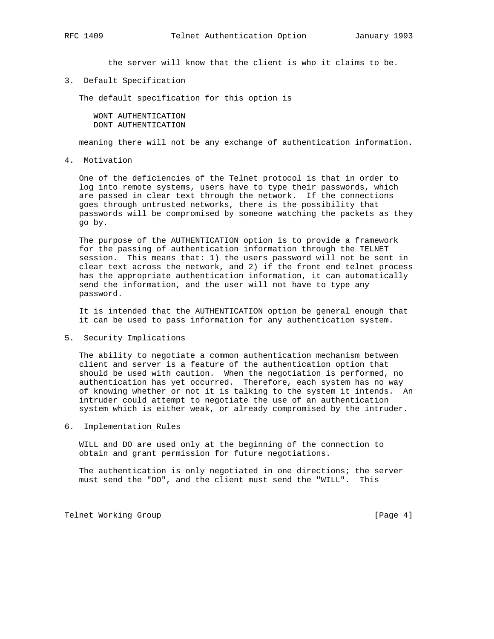the server will know that the client is who it claims to be.

3. Default Specification

The default specification for this option is

 WONT AUTHENTICATION DONT AUTHENTICATION

meaning there will not be any exchange of authentication information.

4. Motivation

 One of the deficiencies of the Telnet protocol is that in order to log into remote systems, users have to type their passwords, which are passed in clear text through the network. If the connections goes through untrusted networks, there is the possibility that passwords will be compromised by someone watching the packets as they go by.

 The purpose of the AUTHENTICATION option is to provide a framework for the passing of authentication information through the TELNET session. This means that: 1) the users password will not be sent in clear text across the network, and 2) if the front end telnet process has the appropriate authentication information, it can automatically send the information, and the user will not have to type any password.

 It is intended that the AUTHENTICATION option be general enough that it can be used to pass information for any authentication system.

5. Security Implications

 The ability to negotiate a common authentication mechanism between client and server is a feature of the authentication option that should be used with caution. When the negotiation is performed, no authentication has yet occurred. Therefore, each system has no way of knowing whether or not it is talking to the system it intends. An intruder could attempt to negotiate the use of an authentication system which is either weak, or already compromised by the intruder.

6. Implementation Rules

 WILL and DO are used only at the beginning of the connection to obtain and grant permission for future negotiations.

 The authentication is only negotiated in one directions; the server must send the "DO", and the client must send the "WILL". This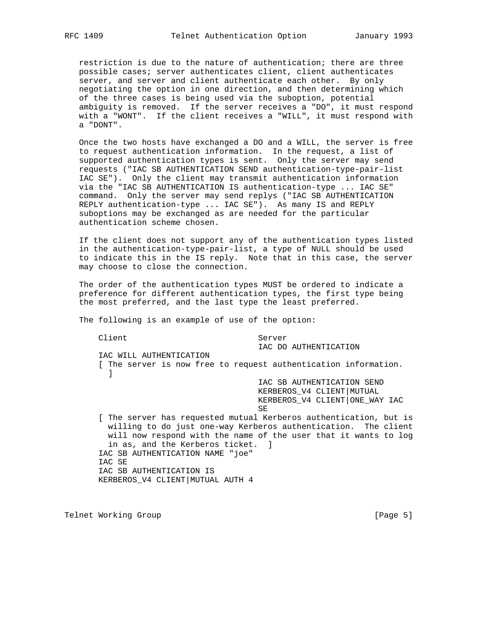restriction is due to the nature of authentication; there are three possible cases; server authenticates client, client authenticates server, and server and client authenticate each other. By only negotiating the option in one direction, and then determining which of the three cases is being used via the suboption, potential ambiguity is removed. If the server receives a "DO", it must respond with a "WONT". If the client receives a "WILL", it must respond with a "DONT".

 Once the two hosts have exchanged a DO and a WILL, the server is free to request authentication information. In the request, a list of supported authentication types is sent. Only the server may send requests ("IAC SB AUTHENTICATION SEND authentication-type-pair-list IAC SE"). Only the client may transmit authentication information via the "IAC SB AUTHENTICATION IS authentication-type ... IAC SE" command. Only the server may send replys ("IAC SB AUTHENTICATION REPLY authentication-type ... IAC SE"). As many IS and REPLY suboptions may be exchanged as are needed for the particular authentication scheme chosen.

 If the client does not support any of the authentication types listed in the authentication-type-pair-list, a type of NULL should be used to indicate this in the IS reply. Note that in this case, the server may choose to close the connection.

 The order of the authentication types MUST be ordered to indicate a preference for different authentication types, the first type being the most preferred, and the last type the least preferred.

The following is an example of use of the option:

Client Server

IAC DO AUTHENTICATION

 IAC WILL AUTHENTICATION [ The server is now free to request authentication information. ] IAC SB AUTHENTICATION SEND KERBEROS\_V4 CLIENT|MUTUAL KERBEROS\_V4 CLIENT|ONE\_WAY IAC SE [ The server has requested mutual Kerberos authentication, but is willing to do just one-way Kerberos authentication. The client will now respond with the name of the user that it wants to log in as, and the Kerberos ticket. ] IAC SB AUTHENTICATION NAME "joe" IAC SE

 IAC SB AUTHENTICATION IS KERBEROS\_V4 CLIENT|MUTUAL AUTH 4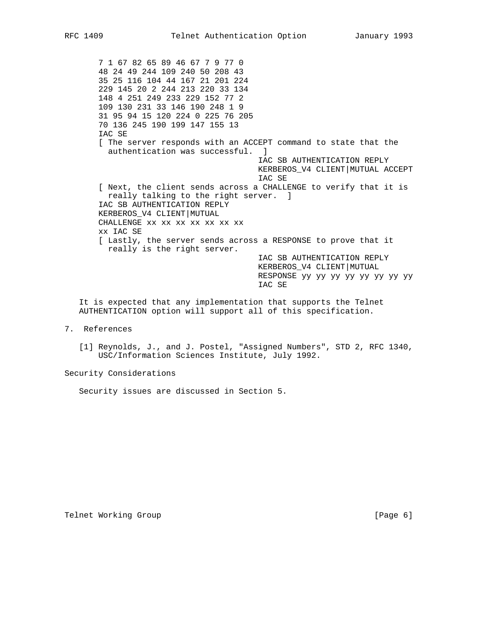7 1 67 82 65 89 46 67 7 9 77 0 48 24 49 244 109 240 50 208 43 35 25 116 104 44 167 21 201 224 229 145 20 2 244 213 220 33 134 148 4 251 249 233 229 152 77 2 109 130 231 33 146 190 248 1 9 31 95 94 15 120 224 0 225 76 205 70 136 245 190 199 147 155 13 IAC SE [ The server responds with an ACCEPT command to state that the authentication was successful. ] IAC SB AUTHENTICATION REPLY KERBEROS\_V4 CLIENT|MUTUAL ACCEPT IAC SE [ Next, the client sends across a CHALLENGE to verify that it is really talking to the right server. ] IAC SB AUTHENTICATION REPLY KERBEROS\_V4 CLIENT|MUTUAL CHALLENGE xx xx xx xx xx xx xx xx IAC SE [ Lastly, the server sends across a RESPONSE to prove that it really is the right server. IAC SB AUTHENTICATION REPLY KERBEROS\_V4 CLIENT|MUTUAL RESPONSE yy yy yy yy yy yy yy yy IAC SE

 It is expected that any implementation that supports the Telnet AUTHENTICATION option will support all of this specification.

- 7. References
	- [1] Reynolds, J., and J. Postel, "Assigned Numbers", STD 2, RFC 1340, USC/Information Sciences Institute, July 1992.

Security Considerations

Security issues are discussed in Section 5.